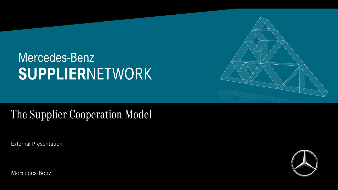# Mercedes-Benz SUPPLIERNETWORK

## The Supplier Cooperation Model

External Presentation

Mercedes-Benz



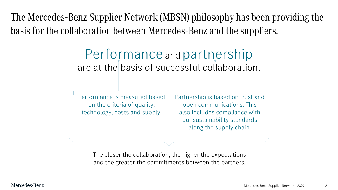The Mercedes-Benz Supplier Network (MBSN) philosophy has been providing the basis for the collaboration between Mercedes-Benz and the suppliers.

### Performance and partnership are at the basis of successful collaboration.

Performance is measured based on the criteria of quality, technology, costs and supply.

Partnership is based on trust and open communications. This also includes compliance with our sustainability standards along the supply chain.

The closer the collaboration, the higher the expectations and the greater the commitments between the partners.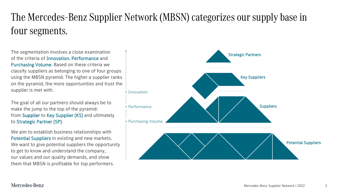### The Mercedes-Benz Supplier Network (MBSN) categorizes our supply base in four segments.

The segmentation involves a close examination of the criteria of Innovation, Performance and Purchasing Volume. Based on these criteria we classify suppliers as belonging to one of four groups using the MBSN pyramid. The higher a supplier ranks on the pyramid, the more opportunities and trust the supplier is met with.

The goal of all our partners should always be to make the jump to the top of the pyramid: from Supplier to Key Supplier (KS) and ultimately to Strategic Partner (SP).

We aim to establish business relationships with Potential Suppliers in existing and new markets. We want to give potential suppliers the opportunity to get to know and understand the company, our values and our quality demands, and show them that MBSN is profitable for top performers.

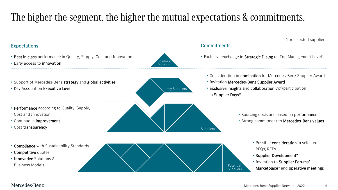### The higher the segment, the higher the mutual expectations & commitments.

#### • Best in class performance in Quality, Supply, Cost and Innovation • Early access to innovation Expectations • Support of Mercedes-Benz strategy and global activities • Key Account on Executive Level • Performance according to Quality, Supply, Cost and Innovation • Continuous improvement • Cost transparency • Compliance with Sustainability Standards • Competitive quotes • Innovative Solutions & **Commitments** • Exclusive exchange in Strategic Dialog on Top Management Level\* • Consideration in nomination for Mercedes-Benz Supplier Award • Invitation Mercedes-Benz Supplier Award • Exclusive insights and collaboration Cof/participation in Supplier Days\* • Sourcing decisions based on performance • Strong commitment to Mercedes-Benz values • Possible consideration in selected RFQs, RFI's • Supplier Development\* • Invitation to Supplier Forums\*, **Key Suppliers** Strategio Partners **Suppliers**

- Business Models
- Mercedes-Benz

Potential **Suppliers** 

Marketplace\* and operative meetings

\*for selected suppliers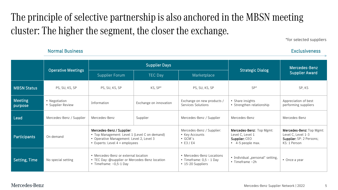### The principle of selective partnership is also anchored in the MBSN meeting cluster: The higher the segment, the closer the exchange.

\*for selected suppliers

|                           |                                    | <b>Supplier Days</b>                                                                                                                                     |                        |                                                                                 |                                                                                          | Mercedes-Benz                                                                              |
|---------------------------|------------------------------------|----------------------------------------------------------------------------------------------------------------------------------------------------------|------------------------|---------------------------------------------------------------------------------|------------------------------------------------------------------------------------------|--------------------------------------------------------------------------------------------|
|                           | <b>Operative Meetings</b>          | Supplier Forum                                                                                                                                           | <b>TEC Day</b>         | Marketplace                                                                     | <b>Strategic Dialog</b>                                                                  | <b>Supplier Award</b>                                                                      |
| <b>MBSN Status</b>        | PS, SU, KS, SP                     | PS, SU, KS, SP                                                                                                                                           | KS, SP*                | PS, SU, KS, SP                                                                  | $SP*$                                                                                    | SP, KS                                                                                     |
| <b>Meeting</b><br>purpose | • Negotiation<br>• Supplier Review | Information                                                                                                                                              | Exchange on innovation | Exchange on new products /<br>Services Solutions                                | • Share insights<br>• Strengthen relationship                                            | Appreciation of best<br>performing suppliers                                               |
| Lead                      | Mercedes-Benz / Supplier           | Mercedes-Benz                                                                                                                                            | Supplier               | Mercedes-Benz / Supplier                                                        | Mercedes-Benz                                                                            | Mercedes-Benz                                                                              |
| <b>Participants</b>       | On demand                          | Mercedes-Benz / Supplier:<br>• Top Management: Level 1 (Level C on demand)<br>• Operative Management: Level 2, Level 3<br>• Experts: Level 4 + employees |                        | Mercedes-Benz / Supplier:<br>• Key Accounts<br>$\cdot$ GCM's<br>$\cdot$ E3 / E4 | Mercedes-Benz: Top Mgmt:<br>Level C, Level 1<br>Supplier: CEO<br>$\cdot$ 4-5 people max. | Mercedes-Benz: Top Mgmt:<br>Level C, Level 1-3<br>Supplier: SP: 2 Persons;<br>KS: 1 Person |
| Setting, Time             | No special setting                 | • Mercedes-Benz or external location<br>• TEC Day: @supplier or Mercedes-Benz location<br>• Timeframe: $~0,5-1$ Day                                      |                        | • Mercedes-Benz Locations<br>• Timeframe: $0,5 - 1$ Day<br>• 15-20 Suppliers    | • Individual "personal" setting,<br>$\cdot$ Timeframe $\sim$ 2h                          | • Once a year                                                                              |

#### Normal Business Exclusiveness

#### Mercedes-Benz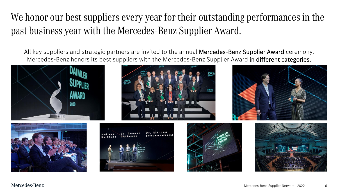### We honor our best suppliers every year for their outstanding performances in the past business year with the Mercedes-Benz Supplier Award.

Mercedes-Benz honors its best suppliers with the Mercedes-Benz Supplier Award in different categories. All key suppliers and strategic partners are invited to the annual **Mercedes-Benz Supplier Award** ceremony.